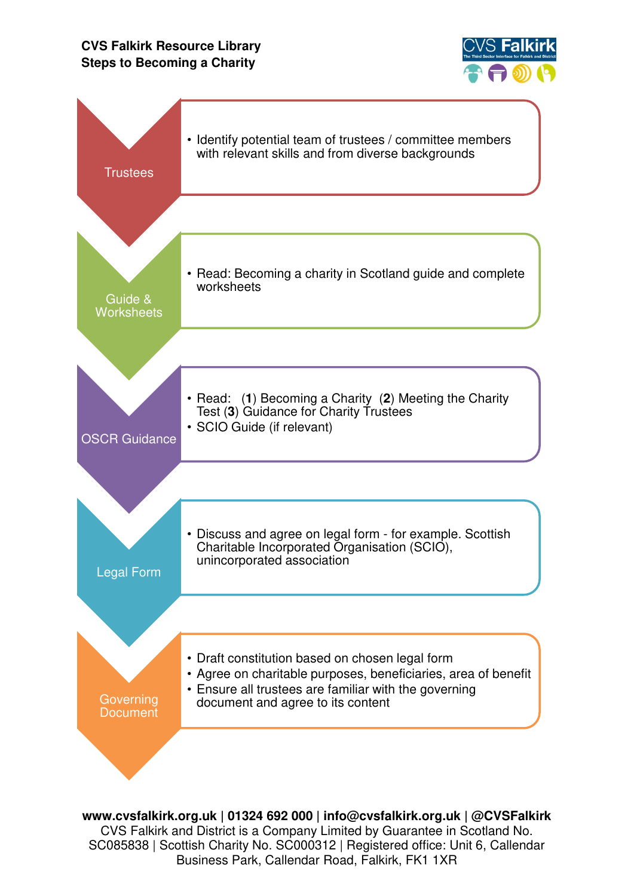## **CVS Falkirk Resource Library Steps to Becoming a Charity**





**www.cvsfalkirk.org.uk | 01324 692 000 | info@cvsfalkirk.org.uk | @CVSFalkirk**  CVS Falkirk and District is a Company Limited by Guarantee in Scotland No. SC085838 | Scottish Charity No. SC000312 | Registered office: Unit 6, Callendar Business Park, Callendar Road, Falkirk, FK1 1XR